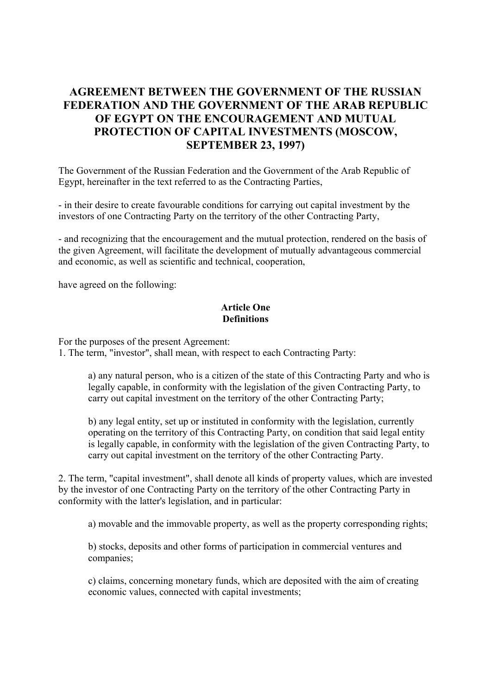# **AGREEMENT BETWEEN THE GOVERNMENT OF THE RUSSIAN FEDERATION AND THE GOVERNMENT OF THE ARAB REPUBLIC OF EGYPT ON THE ENCOURAGEMENT AND MUTUAL PROTECTION OF CAPITAL INVESTMENTS (MOSCOW, SEPTEMBER 23, 1997)**

The Government of the Russian Federation and the Government of the Arab Republic of Egypt, hereinafter in the text referred to as the Contracting Parties,

- in their desire to create favourable conditions for carrying out capital investment by the investors of one Contracting Party on the territory of the other Contracting Party,

- and recognizing that the encouragement and the mutual protection, rendered on the basis of the given Agreement, will facilitate the development of mutually advantageous commercial and economic, as well as scientific and technical, cooperation,

have agreed on the following:

# **Article One Definitions**

For the purposes of the present Agreement:

1. The term, "investor", shall mean, with respect to each Contracting Party:

a) any natural person, who is a citizen of the state of this Contracting Party and who is legally capable, in conformity with the legislation of the given Contracting Party, to carry out capital investment on the territory of the other Contracting Party;

b) any legal entity, set up or instituted in conformity with the legislation, currently operating on the territory of this Contracting Party, on condition that said legal entity is legally capable, in conformity with the legislation of the given Contracting Party, to carry out capital investment on the territory of the other Contracting Party.

2. The term, "capital investment", shall denote all kinds of property values, which are invested by the investor of one Contracting Party on the territory of the other Contracting Party in conformity with the latter's legislation, and in particular:

a) movable and the immovable property, as well as the property corresponding rights;

b) stocks, deposits and other forms of participation in commercial ventures and companies;

c) claims, concerning monetary funds, which are deposited with the aim of creating economic values, connected with capital investments;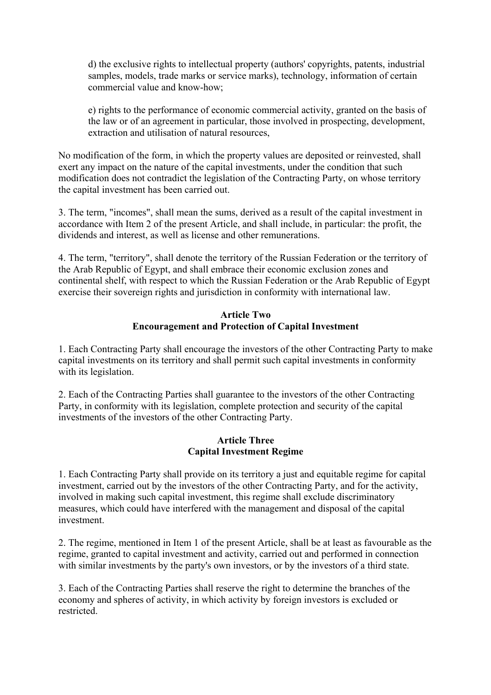d) the exclusive rights to intellectual property (authors' copyrights, patents, industrial samples, models, trade marks or service marks), technology, information of certain commercial value and know-how;

e) rights to the performance of economic commercial activity, granted on the basis of the law or of an agreement in particular, those involved in prospecting, development, extraction and utilisation of natural resources,

No modification of the form, in which the property values are deposited or reinvested, shall exert any impact on the nature of the capital investments, under the condition that such modification does not contradict the legislation of the Contracting Party, on whose territory the capital investment has been carried out.

3. The term, "incomes", shall mean the sums, derived as a result of the capital investment in accordance with Item 2 of the present Article, and shall include, in particular: the profit, the dividends and interest, as well as license and other remunerations.

4. The term, "territory", shall denote the territory of the Russian Federation or the territory of the Arab Republic of Egypt, and shall embrace their economic exclusion zones and continental shelf, with respect to which the Russian Federation or the Arab Republic of Egypt exercise their sovereign rights and jurisdiction in conformity with international law.

#### **Article Two Encouragement and Protection of Capital Investment**

1. Each Contracting Party shall encourage the investors of the other Contracting Party to make capital investments on its territory and shall permit such capital investments in conformity with its legislation.

2. Each of the Contracting Parties shall guarantee to the investors of the other Contracting Party, in conformity with its legislation, complete protection and security of the capital investments of the investors of the other Contracting Party.

#### **Article Three Capital Investment Regime**

1. Each Contracting Party shall provide on its territory a just and equitable regime for capital investment, carried out by the investors of the other Contracting Party, and for the activity, involved in making such capital investment, this regime shall exclude discriminatory measures, which could have interfered with the management and disposal of the capital investment.

2. The regime, mentioned in Item 1 of the present Article, shall be at least as favourable as the regime, granted to capital investment and activity, carried out and performed in connection with similar investments by the party's own investors, or by the investors of a third state.

3. Each of the Contracting Parties shall reserve the right to determine the branches of the economy and spheres of activity, in which activity by foreign investors is excluded or restricted.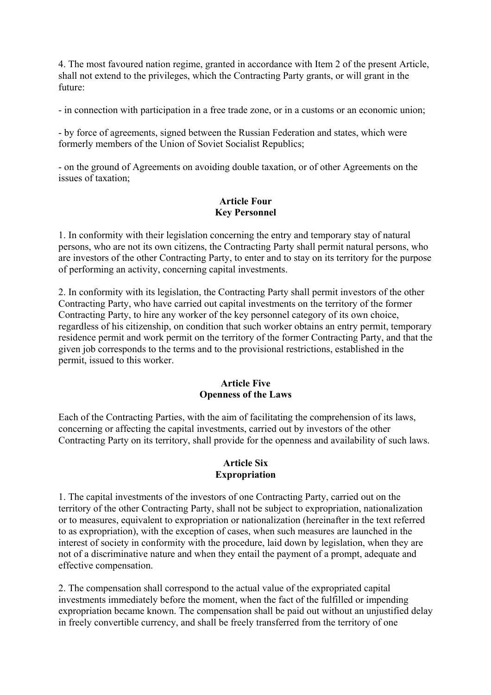4. The most favoured nation regime, granted in accordance with Item 2 of the present Article, shall not extend to the privileges, which the Contracting Party grants, or will grant in the future:

- in connection with participation in a free trade zone, or in a customs or an economic union;

- by force of agreements, signed between the Russian Federation and states, which were formerly members of the Union of Soviet Socialist Republics;

- on the ground of Agreements on avoiding double taxation, or of other Agreements on the issues of taxation;

## **Article Four Key Personnel**

1. In conformity with their legislation concerning the entry and temporary stay of natural persons, who are not its own citizens, the Contracting Party shall permit natural persons, who are investors of the other Contracting Party, to enter and to stay on its territory for the purpose of performing an activity, concerning capital investments.

2. In conformity with its legislation, the Contracting Party shall permit investors of the other Contracting Party, who have carried out capital investments on the territory of the former Contracting Party, to hire any worker of the key personnel category of its own choice, regardless of his citizenship, on condition that such worker obtains an entry permit, temporary residence permit and work permit on the territory of the former Contracting Party, and that the given job corresponds to the terms and to the provisional restrictions, established in the permit, issued to this worker.

### **Article Five Openness of the Laws**

Each of the Contracting Parties, with the aim of facilitating the comprehension of its laws, concerning or affecting the capital investments, carried out by investors of the other Contracting Party on its territory, shall provide for the openness and availability of such laws.

# **Article Six Expropriation**

1. The capital investments of the investors of one Contracting Party, carried out on the territory of the other Contracting Party, shall not be subject to expropriation, nationalization or to measures, equivalent to expropriation or nationalization (hereinafter in the text referred to as expropriation), with the exception of cases, when such measures are launched in the interest of society in conformity with the procedure, laid down by legislation, when they are not of a discriminative nature and when they entail the payment of a prompt, adequate and effective compensation.

2. The compensation shall correspond to the actual value of the expropriated capital investments immediately before the moment, when the fact of the fulfilled or impending expropriation became known. The compensation shall be paid out without an unjustified delay in freely convertible currency, and shall be freely transferred from the territory of one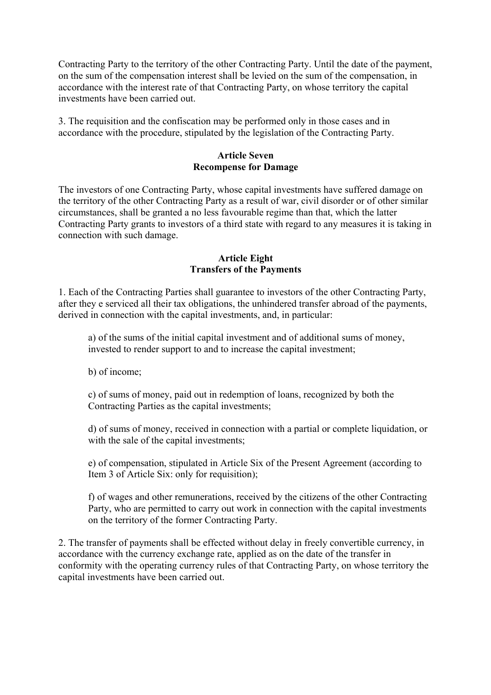Contracting Party to the territory of the other Contracting Party. Until the date of the payment, on the sum of the compensation interest shall be levied on the sum of the compensation, in accordance with the interest rate of that Contracting Party, on whose territory the capital investments have been carried out.

3. The requisition and the confiscation may be performed only in those cases and in accordance with the procedure, stipulated by the legislation of the Contracting Party.

#### **Article Seven Recompense for Damage**

The investors of one Contracting Party, whose capital investments have suffered damage on the territory of the other Contracting Party as a result of war, civil disorder or of other similar circumstances, shall be granted a no less favourable regime than that, which the latter Contracting Party grants to investors of a third state with regard to any measures it is taking in connection with such damage.

## **Article Eight Transfers of the Payments**

1. Each of the Contracting Parties shall guarantee to investors of the other Contracting Party, after they e serviced all their tax obligations, the unhindered transfer abroad of the payments, derived in connection with the capital investments, and, in particular:

a) of the sums of the initial capital investment and of additional sums of money, invested to render support to and to increase the capital investment;

b) of income;

c) of sums of money, paid out in redemption of loans, recognized by both the Contracting Parties as the capital investments;

d) of sums of money, received in connection with a partial or complete liquidation, or with the sale of the capital investments;

e) of compensation, stipulated in Article Six of the Present Agreement (according to Item 3 of Article Six: only for requisition);

f) of wages and other remunerations, received by the citizens of the other Contracting Party, who are permitted to carry out work in connection with the capital investments on the territory of the former Contracting Party.

2. The transfer of payments shall be effected without delay in freely convertible currency, in accordance with the currency exchange rate, applied as on the date of the transfer in conformity with the operating currency rules of that Contracting Party, on whose territory the capital investments have been carried out.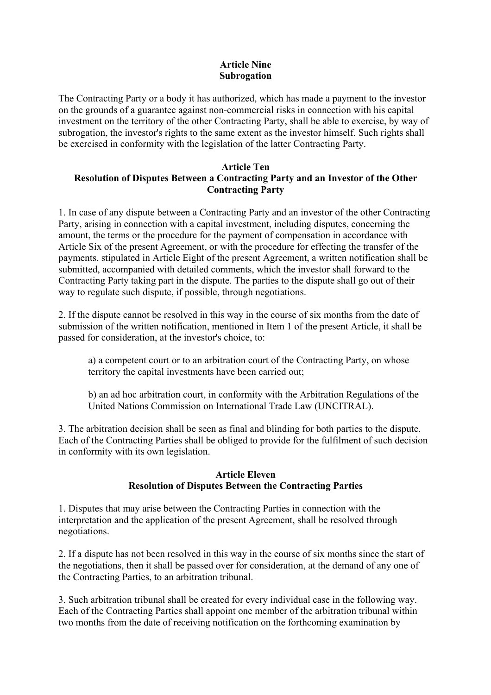# **Article Nine Subrogation**

The Contracting Party or a body it has authorized, which has made a payment to the investor on the grounds of a guarantee against non-commercial risks in connection with his capital investment on the territory of the other Contracting Party, shall be able to exercise, by way of subrogation, the investor's rights to the same extent as the investor himself. Such rights shall be exercised in conformity with the legislation of the latter Contracting Party.

# **Article Ten Resolution of Disputes Between a Contracting Party and an Investor of the Other Contracting Party**

1. In case of any dispute between a Contracting Party and an investor of the other Contracting Party, arising in connection with a capital investment, including disputes, concerning the amount, the terms or the procedure for the payment of compensation in accordance with Article Six of the present Agreement, or with the procedure for effecting the transfer of the payments, stipulated in Article Eight of the present Agreement, a written notification shall be submitted, accompanied with detailed comments, which the investor shall forward to the Contracting Party taking part in the dispute. The parties to the dispute shall go out of their way to regulate such dispute, if possible, through negotiations.

2. If the dispute cannot be resolved in this way in the course of six months from the date of submission of the written notification, mentioned in Item 1 of the present Article, it shall be passed for consideration, at the investor's choice, to:

a) a competent court or to an arbitration court of the Contracting Party, on whose territory the capital investments have been carried out;

b) an ad hoc arbitration court, in conformity with the Arbitration Regulations of the United Nations Commission on International Trade Law (UNCITRAL).

3. The arbitration decision shall be seen as final and blinding for both parties to the dispute. Each of the Contracting Parties shall be obliged to provide for the fulfilment of such decision in conformity with its own legislation.

### **Article Eleven Resolution of Disputes Between the Contracting Parties**

1. Disputes that may arise between the Contracting Parties in connection with the interpretation and the application of the present Agreement, shall be resolved through negotiations.

2. If a dispute has not been resolved in this way in the course of six months since the start of the negotiations, then it shall be passed over for consideration, at the demand of any one of the Contracting Parties, to an arbitration tribunal.

3. Such arbitration tribunal shall be created for every individual case in the following way. Each of the Contracting Parties shall appoint one member of the arbitration tribunal within two months from the date of receiving notification on the forthcoming examination by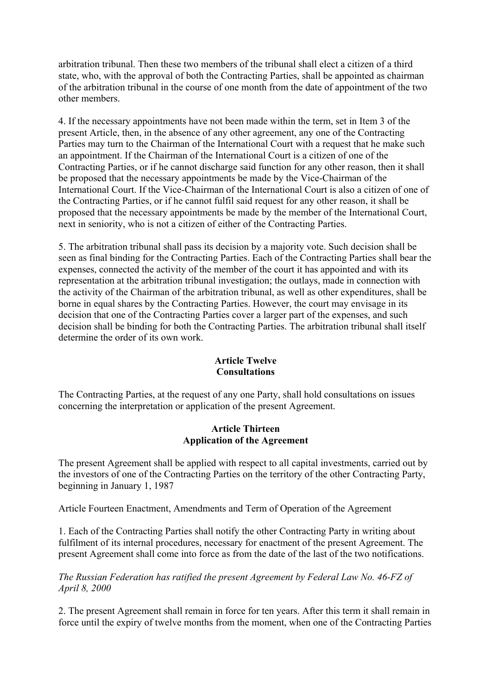arbitration tribunal. Then these two members of the tribunal shall elect a citizen of a third state, who, with the approval of both the Contracting Parties, shall be appointed as chairman of the arbitration tribunal in the course of one month from the date of appointment of the two other members.

4. If the necessary appointments have not been made within the term, set in Item 3 of the present Article, then, in the absence of any other agreement, any one of the Contracting Parties may turn to the Chairman of the International Court with a request that he make such an appointment. If the Chairman of the International Court is a citizen of one of the Contracting Parties, or if he cannot discharge said function for any other reason, then it shall be proposed that the necessary appointments be made by the Vice-Chairman of the International Court. If the Vice-Chairman of the International Court is also a citizen of one of the Contracting Parties, or if he cannot fulfil said request for any other reason, it shall be proposed that the necessary appointments be made by the member of the International Court, next in seniority, who is not a citizen of either of the Contracting Parties.

5. The arbitration tribunal shall pass its decision by a majority vote. Such decision shall be seen as final binding for the Contracting Parties. Each of the Contracting Parties shall bear the expenses, connected the activity of the member of the court it has appointed and with its representation at the arbitration tribunal investigation; the outlays, made in connection with the activity of the Chairman of the arbitration tribunal, as well as other expenditures, shall be borne in equal shares by the Contracting Parties. However, the court may envisage in its decision that one of the Contracting Parties cover a larger part of the expenses, and such decision shall be binding for both the Contracting Parties. The arbitration tribunal shall itself determine the order of its own work.

#### **Article Twelve Consultations**

The Contracting Parties, at the request of any one Party, shall hold consultations on issues concerning the interpretation or application of the present Agreement.

### **Article Thirteen Application of the Agreement**

The present Agreement shall be applied with respect to all capital investments, carried out by the investors of one of the Contracting Parties on the territory of the other Contracting Party, beginning in January 1, 1987

Article Fourteen Enactment, Amendments and Term of Operation of the Agreement

1. Each of the Contracting Parties shall notify the other Contracting Party in writing about fulfilment of its internal procedures, necessary for enactment of the present Agreement. The present Agreement shall come into force as from the date of the last of the two notifications.

*The Russian Federation has ratified the present Agreement by Federal Law No. 46-FZ of April 8, 2000* 

2. The present Agreement shall remain in force for ten years. After this term it shall remain in force until the expiry of twelve months from the moment, when one of the Contracting Parties